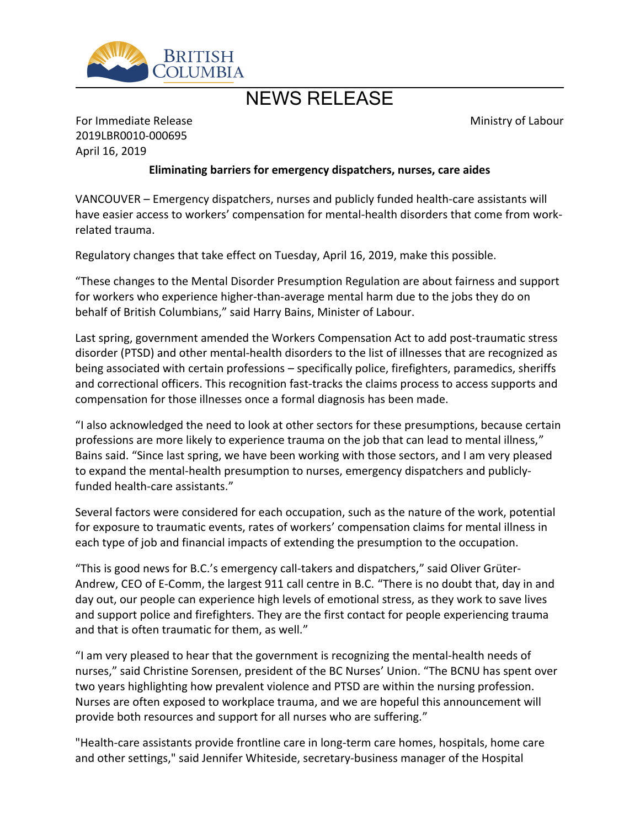

# NEWS RELEASE

Ministry of Labour

For Immediate Release 2019LBR0010-000695 April 16, 2019

### **Eliminating barriers for emergency dispatchers, nurses, care aides**

VANCOUVER – Emergency dispatchers, nurses and publicly funded health-care assistants will have easier access to workers' compensation for mental-health disorders that come from workrelated trauma.

Regulatory changes that take effect on Tuesday, April 16, 2019, make this possible.

͞These changes to the Mental Disorder Presumption Regulation are about fairness and support for workers who experience higher-than-average mental harm due to the jobs they do on behalf of British Columbians," said Harry Bains, Minister of Labour.

Last spring, government amended the Workers Compensation Act to add post-traumatic stress disorder (PTSD) and other mental-health disorders to the list of illnesses that are recognized as being associated with certain professions – specifically police, firefighters, paramedics, sheriffs and correctional officers. This recognition fast-tracks the claims process to access supports and compensation for those illnesses once a formal diagnosis has been made.

"I also acknowledged the need to look at other sectors for these presumptions, because certain professions are more likely to experience trauma on the job that can lead to mental illness," Bains said. "Since last spring, we have been working with those sectors, and I am very pleased to expand the mental-health presumption to nurses, emergency dispatchers and publiclyfunded health-care assistants.<sup>"</sup>

Several factors were considered for each occupation, such as the nature of the work, potential for exposure to traumatic events, rates of workers' compensation claims for mental illness in each type of job and financial impacts of extending the presumption to the occupation.

"This is good news for B.C.'s emergency call-takers and dispatchers," said Oliver Grüter-Andrew, CEO of E-Comm, the largest 911 call centre in B.C. "There is no doubt that, day in and day out, our people can experience high levels of emotional stress, as they work to save lives and support police and firefighters. They are the first contact for people experiencing trauma and that is often traumatic for them, as well.<sup>"</sup>

͞I am very pleased to hear that the government is recognizing the mental-health needs of nurses," said Christine Sorensen, president of the BC Nurses' Union. "The BCNU has spent over two years highlighting how prevalent violence and PTSD are within the nursing profession. Nurses are often exposed to workplace trauma, and we are hopeful this announcement will provide both resources and support for all nurses who are suffering."

"Health-care assistants provide frontline care in long-term care homes, hospitals, home care and other settings," said Jennifer Whiteside, secretary-business manager of the Hospital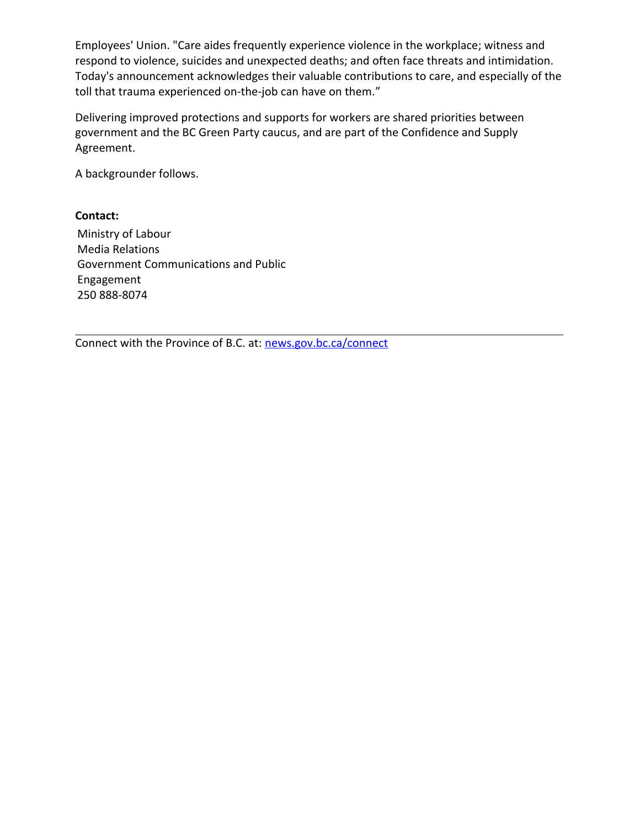Employees' Union. "Care aides frequently experience violence in the workplace; witness and respond to violence, suicides and unexpected deaths; and often face threats and intimidation. Today's announcement acknowledges their valuable contributions to care, and especially of the toll that trauma experienced on-the-job can have on them."

Delivering improved protections and supports for workers are shared priorities between government and the BC Green Party caucus, and are part of the Confidence and Supply Agreement.

A backgrounder follows.

## **Contact:**

Ministry of Labour Media Relations Government Communications and Public Engagement 250 888-8074

Connect with the Province of B.C. at: [news.gov.bc.ca/connect](http://news.gov.bc.ca/connect)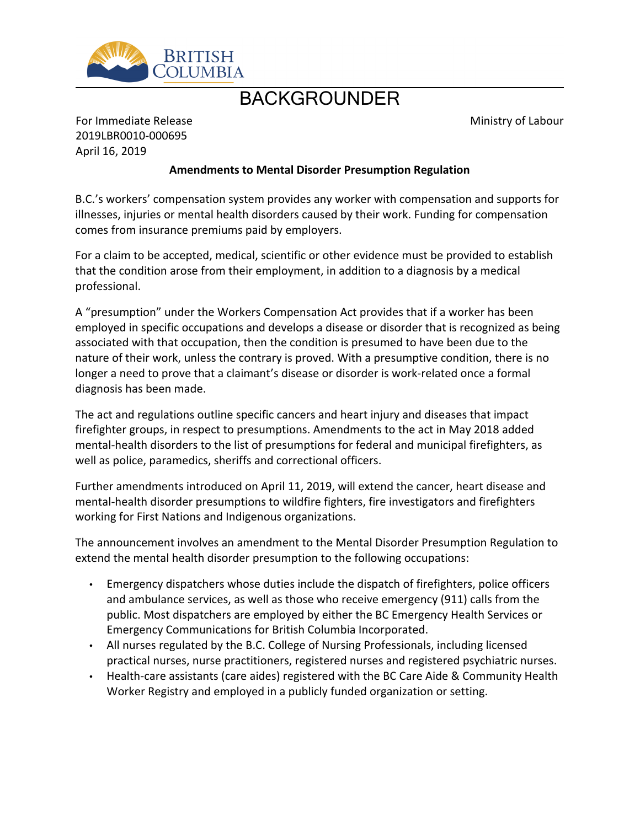

# BACKGROUNDER

Ministry of Labour

For Immediate Release 2019LBR0010-000695 April 16, 2019

### **Amendments to Mental Disorder Presumption Regulation**

B.C.'s workers' compensation system provides any worker with compensation and supports for illnesses, injuries or mental health disorders caused by their work. Funding for compensation comes from insurance premiums paid by employers.

For a claim to be accepted, medical, scientific or other evidence must be provided to establish that the condition arose from their employment, in addition to a diagnosis by a medical professional.

A "presumption" under the Workers Compensation Act provides that if a worker has been employed in specific occupations and develops a disease or disorder that is recognized as being associated with that occupation, then the condition is presumed to have been due to the nature of their work, unless the contrary is proved. With a presumptive condition, there is no longer a need to prove that a claimant's disease or disorder is work-related once a formal diagnosis has been made.

The act and regulations outline specific cancers and heart injury and diseases that impact firefighter groups, in respect to presumptions. Amendments to the act in May 2018 added mental-health disorders to the list of presumptions for federal and municipal firefighters, as well as police, paramedics, sheriffs and correctional officers.

Further amendments introduced on April 11, 2019, will extend the cancer, heart disease and mental-health disorder presumptions to wildfire fighters, fire investigators and firefighters working for First Nations and Indigenous organizations.

The announcement involves an amendment to the Mental Disorder Presumption Regulation to extend the mental health disorder presumption to the following occupations:

- Emergency dispatchers whose duties include the dispatch of firefighters, police officers and ambulance services, as well as those who receive emergency (911) calls from the public. Most dispatchers are employed by either the BC Emergency Health Services or Emergency Communications for British Columbia Incorporated.
- All nurses regulated by the B.C. College of Nursing Professionals, including licensed practical nurses, nurse practitioners, registered nurses and registered psychiatric nurses.
- Health-care assistants (care aides) registered with the BC Care Aide & Community Health Worker Registry and employed in a publicly funded organization or setting.